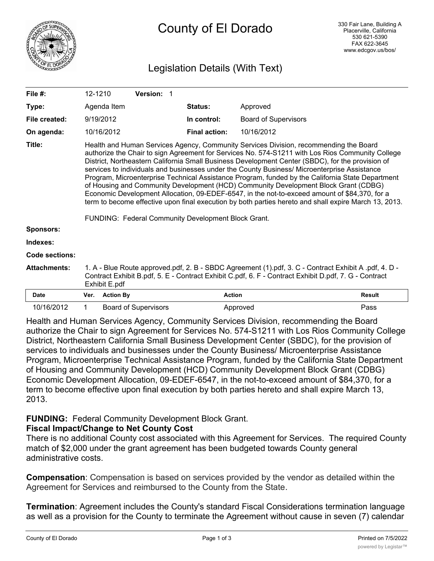

# County of El Dorado

# Legislation Details (With Text)

| File $#$ :          | 12-1210                                                                                                                                                                                                                                                                                                                                                                                                                                                                                                                                                                                                                                                                                                                                                                                                                                                   |                  | Version: 1                  |                      |                             |               |
|---------------------|-----------------------------------------------------------------------------------------------------------------------------------------------------------------------------------------------------------------------------------------------------------------------------------------------------------------------------------------------------------------------------------------------------------------------------------------------------------------------------------------------------------------------------------------------------------------------------------------------------------------------------------------------------------------------------------------------------------------------------------------------------------------------------------------------------------------------------------------------------------|------------------|-----------------------------|----------------------|-----------------------------|---------------|
| Type:               |                                                                                                                                                                                                                                                                                                                                                                                                                                                                                                                                                                                                                                                                                                                                                                                                                                                           | Agenda Item      |                             | <b>Status:</b>       | Approved                    |               |
| File created:       |                                                                                                                                                                                                                                                                                                                                                                                                                                                                                                                                                                                                                                                                                                                                                                                                                                                           | 9/19/2012        |                             | In control:          | <b>Board of Supervisors</b> |               |
| On agenda:          |                                                                                                                                                                                                                                                                                                                                                                                                                                                                                                                                                                                                                                                                                                                                                                                                                                                           | 10/16/2012       |                             | <b>Final action:</b> | 10/16/2012                  |               |
| Title:              | Health and Human Services Agency, Community Services Division, recommending the Board<br>authorize the Chair to sign Agreement for Services No. 574-S1211 with Los Rios Community College<br>District, Northeastern California Small Business Development Center (SBDC), for the provision of<br>services to individuals and businesses under the County Business/ Microenterprise Assistance<br>Program, Microenterprise Technical Assistance Program, funded by the California State Department<br>of Housing and Community Development (HCD) Community Development Block Grant (CDBG)<br>Economic Development Allocation, 09-EDEF-6547, in the not-to-exceed amount of \$84,370, for a<br>term to become effective upon final execution by both parties hereto and shall expire March 13, 2013.<br>FUNDING: Federal Community Development Block Grant. |                  |                             |                      |                             |               |
| <b>Sponsors:</b>    |                                                                                                                                                                                                                                                                                                                                                                                                                                                                                                                                                                                                                                                                                                                                                                                                                                                           |                  |                             |                      |                             |               |
| Indexes:            |                                                                                                                                                                                                                                                                                                                                                                                                                                                                                                                                                                                                                                                                                                                                                                                                                                                           |                  |                             |                      |                             |               |
| Code sections:      |                                                                                                                                                                                                                                                                                                                                                                                                                                                                                                                                                                                                                                                                                                                                                                                                                                                           |                  |                             |                      |                             |               |
| <b>Attachments:</b> | 1. A - Blue Route approved.pdf, 2. B - SBDC Agreement (1).pdf, 3. C - Contract Exhibit A .pdf, 4. D -<br>Contract Exhibit B.pdf, 5. E - Contract Exhibit C.pdf, 6. F - Contract Exhibit D.pdf, 7. G - Contract<br>Exhibit E.pdf                                                                                                                                                                                                                                                                                                                                                                                                                                                                                                                                                                                                                           |                  |                             |                      |                             |               |
| <b>Date</b>         | Ver.                                                                                                                                                                                                                                                                                                                                                                                                                                                                                                                                                                                                                                                                                                                                                                                                                                                      | <b>Action By</b> |                             |                      | <b>Action</b>               | <b>Result</b> |
| 10/16/2012          | 1                                                                                                                                                                                                                                                                                                                                                                                                                                                                                                                                                                                                                                                                                                                                                                                                                                                         |                  | <b>Board of Supervisors</b> |                      | Approved                    | Pass          |

Health and Human Services Agency, Community Services Division, recommending the Board authorize the Chair to sign Agreement for Services No. 574-S1211 with Los Rios Community College District, Northeastern California Small Business Development Center (SBDC), for the provision of services to individuals and businesses under the County Business/ Microenterprise Assistance Program, Microenterprise Technical Assistance Program, funded by the California State Department of Housing and Community Development (HCD) Community Development Block Grant (CDBG) Economic Development Allocation, 09-EDEF-6547, in the not-to-exceed amount of \$84,370, for a term to become effective upon final execution by both parties hereto and shall expire March 13, 2013.

#### **FUNDING:** Federal Community Development Block Grant. **Fiscal Impact/Change to Net County Cost**

There is no additional County cost associated with this Agreement for Services. The required County match of \$2,000 under the grant agreement has been budgeted towards County general administrative costs.

**Compensation**: Compensation is based on services provided by the vendor as detailed within the Agreement for Services and reimbursed to the County from the State.

**Termination**: Agreement includes the County's standard Fiscal Considerations termination language as well as a provision for the County to terminate the Agreement without cause in seven (7) calendar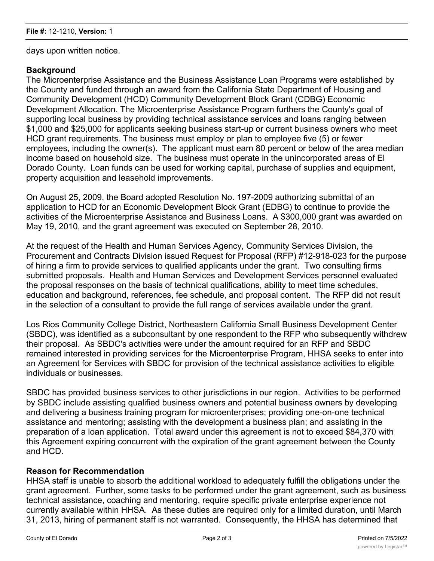days upon written notice.

## **Background**

The Microenterprise Assistance and the Business Assistance Loan Programs were established by the County and funded through an award from the California State Department of Housing and Community Development (HCD) Community Development Block Grant (CDBG) Economic Development Allocation. The Microenterprise Assistance Program furthers the County's goal of supporting local business by providing technical assistance services and loans ranging between \$1,000 and \$25,000 for applicants seeking business start-up or current business owners who meet HCD grant requirements. The business must employ or plan to employee five (5) or fewer employees, including the owner(s). The applicant must earn 80 percent or below of the area median income based on household size. The business must operate in the unincorporated areas of El Dorado County. Loan funds can be used for working capital, purchase of supplies and equipment, property acquisition and leasehold improvements.

On August 25, 2009, the Board adopted Resolution No. 197-2009 authorizing submittal of an application to HCD for an Economic Development Block Grant (EDBG) to continue to provide the activities of the Microenterprise Assistance and Business Loans. A \$300,000 grant was awarded on May 19, 2010, and the grant agreement was executed on September 28, 2010.

At the request of the Health and Human Services Agency, Community Services Division, the Procurement and Contracts Division issued Request for Proposal (RFP) #12-918-023 for the purpose of hiring a firm to provide services to qualified applicants under the grant. Two consulting firms submitted proposals. Health and Human Services and Development Services personnel evaluated the proposal responses on the basis of technical qualifications, ability to meet time schedules, education and background, references, fee schedule, and proposal content. The RFP did not result in the selection of a consultant to provide the full range of services available under the grant.

Los Rios Community College District, Northeastern California Small Business Development Center (SBDC), was identified as a subconsultant by one respondent to the RFP who subsequently withdrew their proposal. As SBDC's activities were under the amount required for an RFP and SBDC remained interested in providing services for the Microenterprise Program, HHSA seeks to enter into an Agreement for Services with SBDC for provision of the technical assistance activities to eligible individuals or businesses.

SBDC has provided business services to other jurisdictions in our region. Activities to be performed by SBDC include assisting qualified business owners and potential business owners by developing and delivering a business training program for microenterprises; providing one-on-one technical assistance and mentoring; assisting with the development a business plan; and assisting in the preparation of a loan application. Total award under this agreement is not to exceed \$84,370 with this Agreement expiring concurrent with the expiration of the grant agreement between the County and HCD.

#### **Reason for Recommendation**

HHSA staff is unable to absorb the additional workload to adequately fulfill the obligations under the grant agreement. Further, some tasks to be performed under the grant agreement, such as business technical assistance, coaching and mentoring, require specific private enterprise experience not currently available within HHSA. As these duties are required only for a limited duration, until March 31, 2013, hiring of permanent staff is not warranted. Consequently, the HHSA has determined that